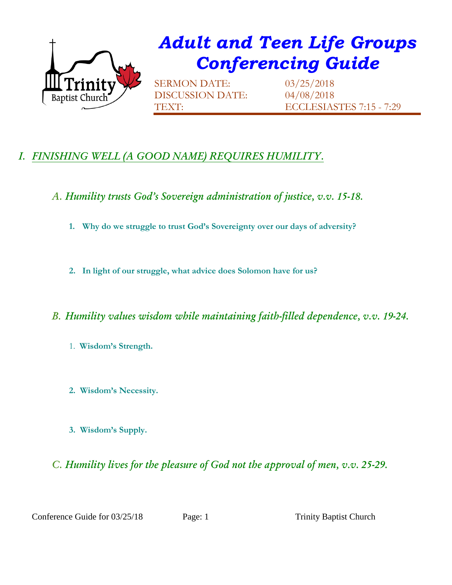

## *Adult and Teen Life Groups Conferencing Guide*

SERMON DATE: 03/25/2018 DISCUSSION DATE: 04/08/2018

TEXT: ECCLESIASTES 7:15 - 7:29

## *I. FINISHING WELL (A GOOD NAME) REQUIRES HUMILITY.*

*A. Humility trusts God's Sovereign administration of justice, v.v. 15-18.*

- **1. Why do we struggle to trust God's Sovereignty over our days of adversity?**
- **2. In light of our struggle, what advice does Solomon have for us?**

## *B. Humility values wisdom while maintaining faith-filled dependence, v.v. 19-24.*

- 1. **Wisdom's Strength.**
- **2. Wisdom's Necessity.**
- **3. Wisdom's Supply.**

## *C. Humility lives for the pleasure of God not the approval of men, v.v. 25-29.*

Conference Guide for 03/25/18 Page: 1 Trinity Baptist Church